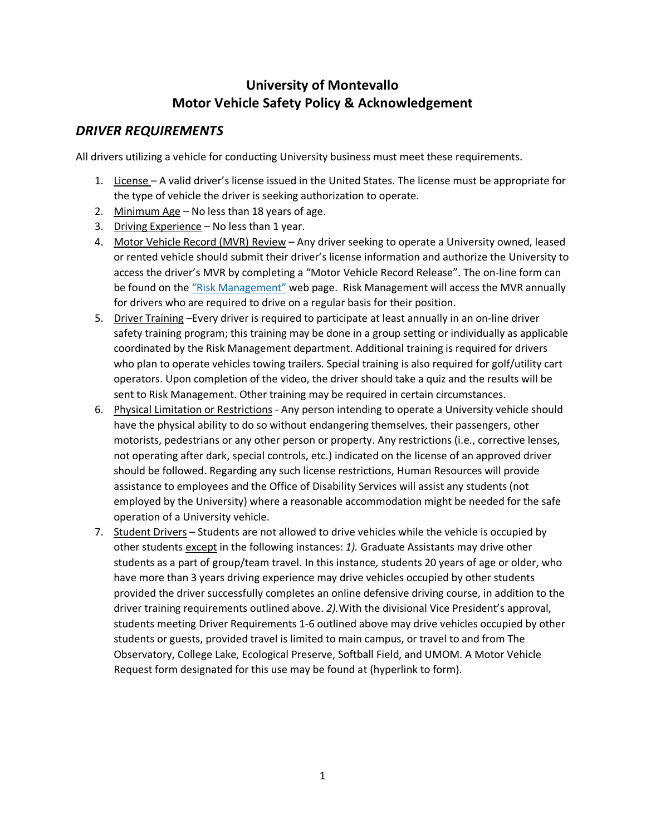## **University of Montevallo Motor Vehicle Safety Policy & Acknowledgement**

## *DRIVER REQUIREMENTS*

All drivers utilizing a vehicle for conducting University business must meet these requirements.

- 1. License A valid driver's license issued in the United States. The license must be appropriate for the type of vehicle the driver is seeking authorization to operate.
- 2. Minimum Age No less than 18 years of age.
- 3. Driving Experience No less than 1 year.
- 4. Motor Vehicle Record (MVR) Review Any driver seeking to operate a University owned, leased or rented vehicle should submit their driver's license information and authorize the University to access the driver's MVR by completing a "Motor Vehicle Record Release". The on-line form can be found on the "Risk Management" web page. Risk Management will access the MVR annually for drivers who are required to drive on a regular basis for their position.
- 5. Driver Training –Every driver is required to participate at least annually in an on-line driver safety training program; this training may be done in a group setting or individually as applicable coordinated by the Risk Management department. Additional training is required for drivers who plan to operate vehicles towing trailers. Special training is also required for golf/utility cart operators. Upon completion of the video, the driver should take a quiz and the results will be sent to Risk Management. Other training may be required in certain circumstances.
- 6. Physical Limitation or Restrictions Any person intending to operate a University vehicle should have the physical ability to do so without endangering themselves, their passengers, other motorists, pedestrians or any other person or property. Any restrictions (i.e., corrective lenses, not operating after dark, special controls, etc.) indicated on the license of an approved driver should be followed. Regarding any such license restrictions, Human Resources will provide assistance to employees and the Office of Disability Services will assist any students (not employed by the University) where a reasonable accommodation might be needed for the safe operation of a University vehicle.
- 7. Student Drivers Students are not allowed to drive vehicles while the vehicle is occupied by other students except in the following instances: *1).* Graduate Assistants may drive other students as a part of group/team travel. In this instance*,* students 20 years of age or older, who have more than 3 years driving experience may drive vehicles occupied by other students provided the driver successfully completes an online defensive driving course, in addition to the driver training requirements outlined above. *2).*With the divisional Vice President's approval, students meeting Driver Requirements 1-6 outlined above may drive vehicles occupied by other students or guests, provided travel is limited to main campus, or travel to and from The Observatory, College Lake, Ecological Preserve, Softball Field, and UMOM. A Motor Vehicle Request form designated for this use may be found at (hyperlink to form).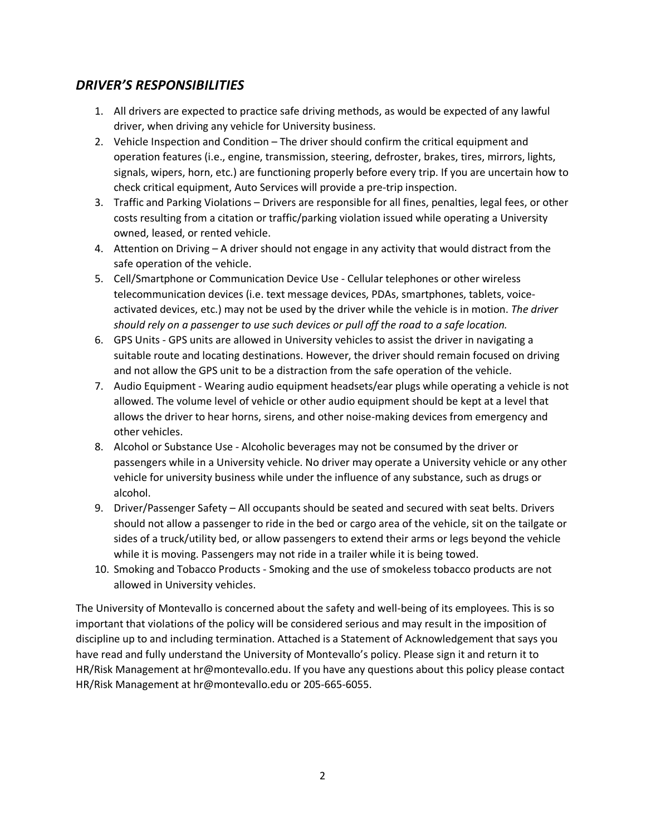## *DRIVER'S RESPONSIBILITIES*

- 1. All drivers are expected to practice safe driving methods, as would be expected of any lawful driver, when driving any vehicle for University business.
- 2. Vehicle Inspection and Condition The driver should confirm the critical equipment and operation features (i.e., engine, transmission, steering, defroster, brakes, tires, mirrors, lights, signals, wipers, horn, etc.) are functioning properly before every trip. If you are uncertain how to check critical equipment, Auto Services will provide a pre-trip inspection.
- 3. Traffic and Parking Violations Drivers are responsible for all fines, penalties, legal fees, or other costs resulting from a citation or traffic/parking violation issued while operating a University owned, leased, or rented vehicle.
- 4. Attention on Driving A driver should not engage in any activity that would distract from the safe operation of the vehicle.
- 5. Cell/Smartphone or Communication Device Use Cellular telephones or other wireless telecommunication devices (i.e. text message devices, PDAs, smartphones, tablets, voiceactivated devices, etc.) may not be used by the driver while the vehicle is in motion. *The driver should rely on a passenger to use such devices or pull off the road to a safe location.*
- 6. GPS Units GPS units are allowed in University vehicles to assist the driver in navigating a suitable route and locating destinations. However, the driver should remain focused on driving and not allow the GPS unit to be a distraction from the safe operation of the vehicle.
- 7. Audio Equipment Wearing audio equipment headsets/ear plugs while operating a vehicle is not allowed. The volume level of vehicle or other audio equipment should be kept at a level that allows the driver to hear horns, sirens, and other noise-making devices from emergency and other vehicles.
- 8. Alcohol or Substance Use Alcoholic beverages may not be consumed by the driver or passengers while in a University vehicle. No driver may operate a University vehicle or any other vehicle for university business while under the influence of any substance, such as drugs or alcohol.
- 9. Driver/Passenger Safety All occupants should be seated and secured with seat belts. Drivers should not allow a passenger to ride in the bed or cargo area of the vehicle, sit on the tailgate or sides of a truck/utility bed, or allow passengers to extend their arms or legs beyond the vehicle while it is moving. Passengers may not ride in a trailer while it is being towed.
- 10. Smoking and Tobacco Products Smoking and the use of smokeless tobacco products are not allowed in University vehicles.

The University of Montevallo is concerned about the safety and well-being of its employees. This is so important that violations of the policy will be considered serious and may result in the imposition of discipline up to and including termination. Attached is a Statement of Acknowledgement that says you have read and fully understand the University of Montevallo's policy. Please sign it and return it to HR/Risk Management at hr@montevallo.edu. If you have any questions about this policy please contact HR/Risk Management at hr@montevallo.edu or 205-665-6055.